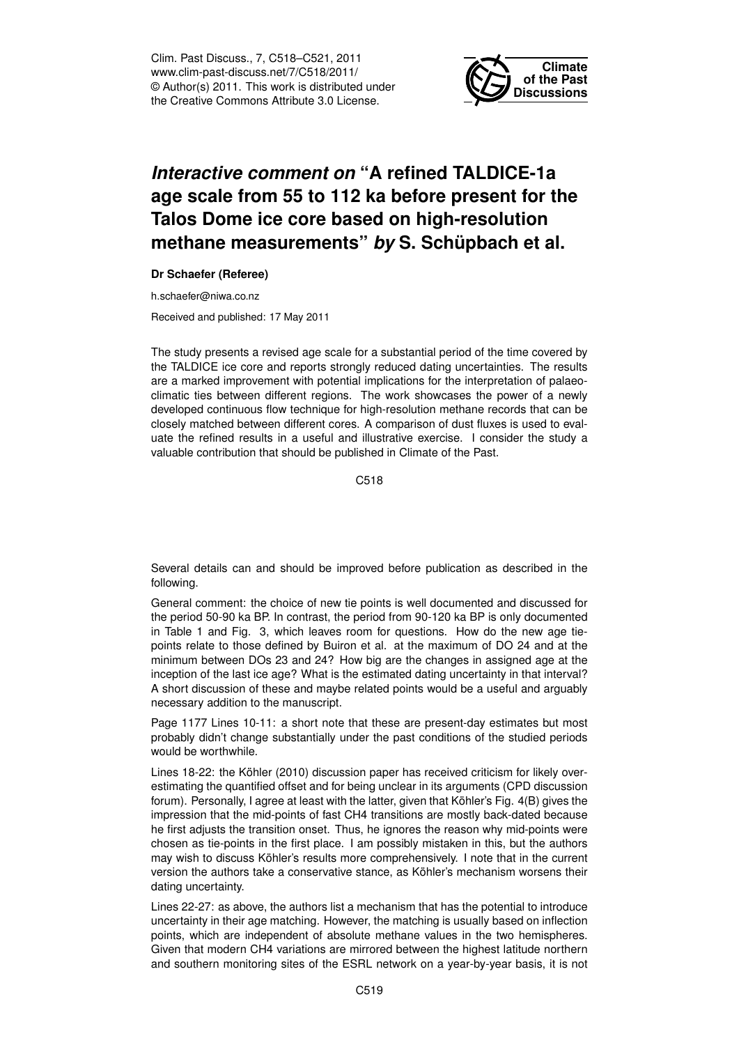Clim. Past Discuss., 7, C518–C521, 2011 www.clim-past-discuss.net/7/C518/2011/ © Author(s) 2011. This work is distributed under the Creative Commons Attribute 3.0 License.



## *Interactive comment on* **"A refined TALDICE-1a age scale from 55 to 112 ka before present for the Talos Dome ice core based on high-resolution methane measurements"** *by* **S. Schüpbach et al.**

## **Dr Schaefer (Referee)**

h.schaefer@niwa.co.nz

Received and published: 17 May 2011

The study presents a revised age scale for a substantial period of the time covered by the TALDICE ice core and reports strongly reduced dating uncertainties. The results are a marked improvement with potential implications for the interpretation of palaeoclimatic ties between different regions. The work showcases the power of a newly developed continuous flow technique for high-resolution methane records that can be closely matched between different cores. A comparison of dust fluxes is used to evaluate the refined results in a useful and illustrative exercise. I consider the study a valuable contribution that should be published in Climate of the Past.

C518

Several details can and should be improved before publication as described in the following.

General comment: the choice of new tie points is well documented and discussed for the period 50-90 ka BP. In contrast, the period from 90-120 ka BP is only documented in Table 1 and Fig. 3, which leaves room for questions. How do the new age tiepoints relate to those defined by Buiron et al. at the maximum of DO 24 and at the minimum between DOs 23 and 24? How big are the changes in assigned age at the inception of the last ice age? What is the estimated dating uncertainty in that interval? A short discussion of these and maybe related points would be a useful and arguably necessary addition to the manuscript.

Page 1177 Lines 10-11: a short note that these are present-day estimates but most probably didn't change substantially under the past conditions of the studied periods would be worthwhile.

Lines 18-22: the Köhler (2010) discussion paper has received criticism for likely overestimating the quantified offset and for being unclear in its arguments (CPD discussion forum). Personally, I agree at least with the latter, given that Köhler's Fig. 4(B) gives the impression that the mid-points of fast CH4 transitions are mostly back-dated because he first adjusts the transition onset. Thus, he ignores the reason why mid-points were chosen as tie-points in the first place. I am possibly mistaken in this, but the authors may wish to discuss Köhler's results more comprehensively. I note that in the current version the authors take a conservative stance, as Köhler's mechanism worsens their dating uncertainty.

Lines 22-27: as above, the authors list a mechanism that has the potential to introduce uncertainty in their age matching. However, the matching is usually based on inflection points, which are independent of absolute methane values in the two hemispheres. Given that modern CH4 variations are mirrored between the highest latitude northern and southern monitoring sites of the ESRL network on a year-by-year basis, it is not